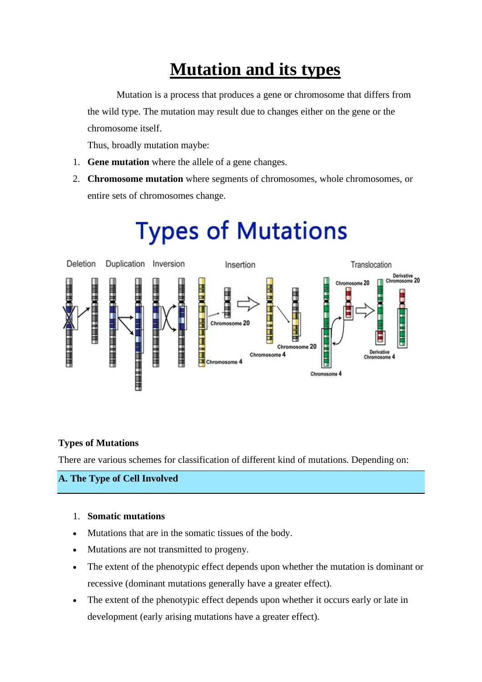# **Mutation and its types**

Mutation is a process that produces a gene or chromosome that differs from the wild type. The mutation may result due to changes either on the gene or the chromosome itself.

Thus, broadly mutation maybe:

- 1. **Gene mutation** where the allele of a gene changes.
- 2. **Chromosome mutation** where segments of chromosomes, whole chromosomes, or entire sets of chromosomes change.



# **Types of Mutations**

# **Types of Mutations**

There are various schemes for classification of different kind of mutations. Depending on:

# **A. The Type of Cell Involved**

#### 1. **Somatic mutations**

- Mutations that are in the somatic tissues of the body.
- Mutations are not transmitted to progeny.
- The extent of the phenotypic effect depends upon whether the mutation is dominant or recessive (dominant mutations generally have a greater effect).
- The extent of the phenotypic effect depends upon whether it occurs early or late in development (early arising mutations have a greater effect).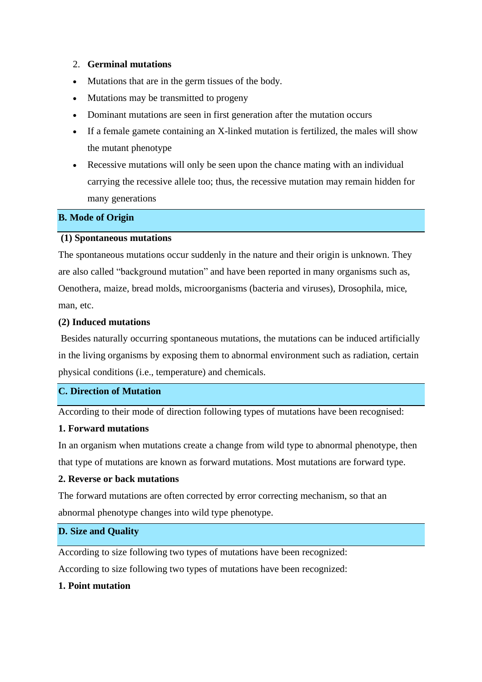#### 2. **Germinal mutations**

- Mutations that are in the germ tissues of the body.
- Mutations may be transmitted to progeny
- Dominant mutations are seen in first generation after the mutation occurs
- If a female gamete containing an X-linked mutation is fertilized, the males will show the mutant phenotype
- Recessive mutations will only be seen upon the chance mating with an individual carrying the recessive allele too; thus, the recessive mutation may remain hidden for many generations

#### **B. Mode of Origin**

#### **(1) Spontaneous mutations**

The spontaneous mutations occur suddenly in the nature and their origin is unknown. They are also called "background mutation" and have been reported in many organisms such as, Oenothera, maize, bread molds, microorganisms (bacteria and viruses), Drosophila, mice, man, etc.

#### **(2) Induced mutations**

Besides naturally occurring spontaneous mutations, the mutations can be induced artificially in the living organisms by exposing them to abnormal environment such as radiation, certain physical conditions (i.e., temperature) and chemicals.

# **C. Direction of Mutation**

According to their mode of direction following types of mutations have been recognised:

#### **1. Forward mutations**

In an organism when mutations create a change from wild type to abnormal phenotype, then that type of mutations are known as forward mutations. Most mutations are forward type.

#### **2. Reverse or back mutations**

The forward mutations are often corrected by error correcting mechanism, so that an abnormal phenotype changes into wild type phenotype.

# **D. Size and Quality**

According to size following two types of mutations have been recognized:

# According to size following two types of mutations have been recognized:

## **1. Point mutation**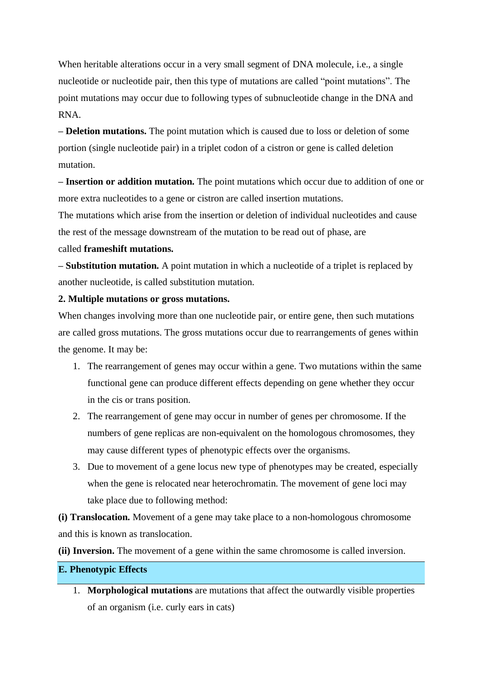When heritable alterations occur in a very small segment of DNA molecule, i.e., a single nucleotide or nucleotide pair, then this type of mutations are called "point mutations". The point mutations may occur due to following types of subnucleotide change in the DNA and RNA.

**– Deletion mutations.** The point mutation which is caused due to loss or deletion of some portion (single nucleotide pair) in a triplet codon of a cistron or gene is called deletion mutation.

**– Insertion or addition mutation.** The point mutations which occur due to addition of one or more extra nucleotides to a gene or cistron are called insertion mutations.

The mutations which arise from the insertion or deletion of individual nucleotides and cause the rest of the message downstream of the mutation to be read out of phase, are

#### called **frameshift mutations.**

**– Substitution mutation.** A point mutation in which a nucleotide of a triplet is replaced by another nucleotide, is called substitution mutation.

#### **2. Multiple mutations or gross mutations.**

When changes involving more than one nucleotide pair, or entire gene, then such mutations are called gross mutations. The gross mutations occur due to rearrangements of genes within the genome. It may be:

- 1. The rearrangement of genes may occur within a gene. Two mutations within the same functional gene can produce different effects depending on gene whether they occur in the cis or trans position.
- 2. The rearrangement of gene may occur in number of genes per chromosome. If the numbers of gene replicas are non-equivalent on the homologous chromosomes, they may cause different types of phenotypic effects over the organisms.
- 3. Due to movement of a gene locus new type of phenotypes may be created, especially when the gene is relocated near heterochromatin. The movement of gene loci may take place due to following method:

**(i) Translocation.** Movement of a gene may take place to a non-homologous chromosome and this is known as translocation.

**(ii) Inversion.** The movement of a gene within the same chromosome is called inversion.

# **E. Phenotypic Effects**

1. **Morphological mutations** are mutations that affect the outwardly visible properties of an organism (i.e. curly ears in cats)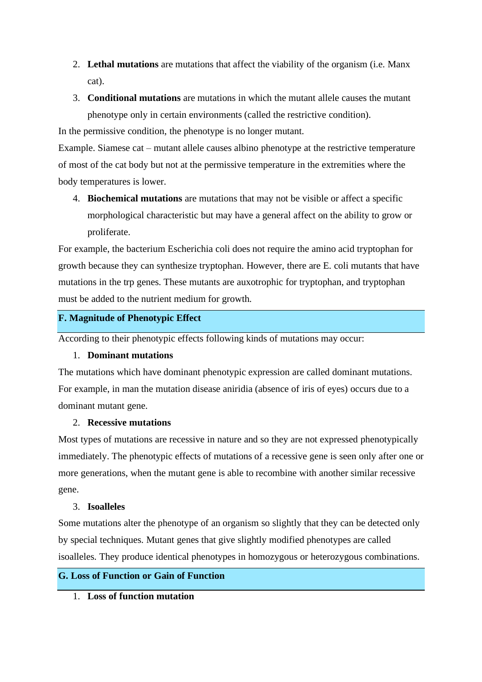- 2. **Lethal mutations** are mutations that affect the viability of the organism (i.e. Manx cat).
- 3. **Conditional mutations** are mutations in which the mutant allele causes the mutant phenotype only in certain environments (called the restrictive condition).

In the permissive condition, the phenotype is no longer mutant.

Example. Siamese cat – mutant allele causes albino phenotype at the restrictive temperature of most of the cat body but not at the permissive temperature in the extremities where the body temperatures is lower.

4. **Biochemical mutations** are mutations that may not be visible or affect a specific morphological characteristic but may have a general affect on the ability to grow or proliferate.

For example, the bacterium Escherichia coli does not require the amino acid tryptophan for growth because they can synthesize tryptophan. However, there are E. coli mutants that have mutations in the trp genes. These mutants are auxotrophic for tryptophan, and tryptophan must be added to the nutrient medium for growth.

# **F. Magnitude of Phenotypic Effect**

According to their phenotypic effects following kinds of mutations may occur:

#### 1. **Dominant mutations**

The mutations which have dominant phenotypic expression are called dominant mutations. For example, in man the mutation disease aniridia (absence of iris of eyes) occurs due to a dominant mutant gene.

#### 2. **Recessive mutations**

Most types of mutations are recessive in nature and so they are not expressed phenotypically immediately. The phenotypic effects of mutations of a recessive gene is seen only after one or more generations, when the mutant gene is able to recombine with another similar recessive gene.

#### 3. **Isoalleles**

Some mutations alter the phenotype of an organism so slightly that they can be detected only by special techniques. Mutant genes that give slightly modified phenotypes are called isoalleles. They produce identical phenotypes in homozygous or heterozygous combinations.

# **G. Loss of Function or Gain of Function**

1. **Loss of function mutation**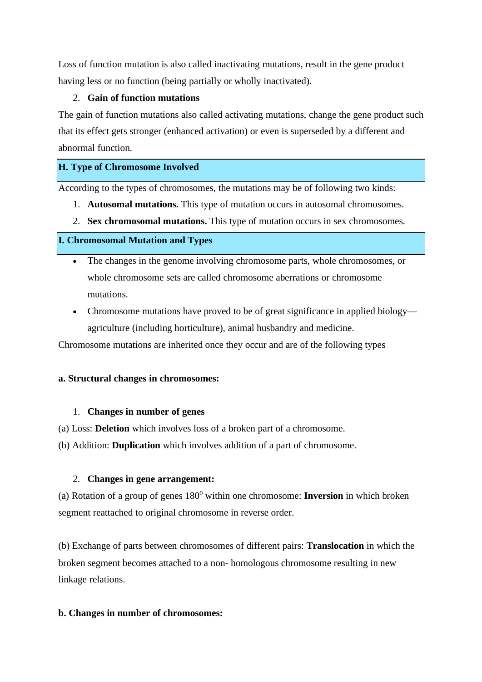Loss of function mutation is also called inactivating mutations, result in the gene product having less or no function (being partially or wholly inactivated).

## 2. **Gain of function mutations**

The gain of function mutations also called activating mutations, change the gene product such that its effect gets stronger (enhanced activation) or even is superseded by a different and abnormal function.

# **H. Type of Chromosome Involved**

According to the types of chromosomes, the mutations may be of following two kinds:

- 1. **Autosomal mutations.** This type of mutation occurs in autosomal chromosomes.
- 2. **Sex chromosomal mutations.** This type of mutation occurs in sex chromosomes.

# **I. Chromosomal Mutation and Types**

- The changes in the genome involving chromosome parts, whole chromosomes, or whole chromosome sets are called chromosome aberrations or chromosome mutations.
- Chromosome mutations have proved to be of great significance in applied biology agriculture (including horticulture), animal husbandry and medicine.

Chromosome mutations are inherited once they occur and are of the following types

# **a. Structural changes in chromosomes:**

#### 1. **Changes in number of genes**

- (a) Loss: **Deletion** which involves loss of a broken part of a chromosome.
- (b) Addition: **Duplication** which involves addition of a part of chromosome.

# 2. **Changes in gene arrangement:**

(a) Rotation of a group of genes 180<sup>0</sup> within one chromosome: **Inversion** in which broken segment reattached to original chromosome in reverse order.

(b) Exchange of parts between chromosomes of different pairs: **Translocation** in which the broken segment becomes attached to a non- homologous chromosome resulting in new linkage relations.

#### **b. Changes in number of chromosomes:**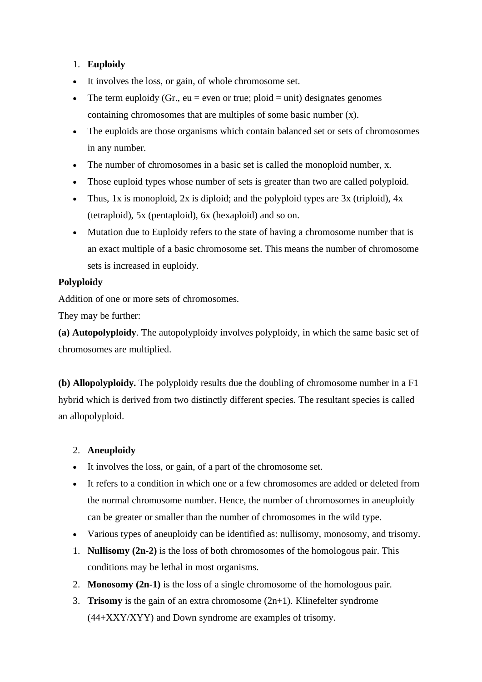# 1. **Euploidy**

- It involves the loss, or gain, of whole chromosome set.
- The term euploidy (Gr., eu = even or true; ploid = unit) designates genomes containing chromosomes that are multiples of some basic number (x).
- The euploids are those organisms which contain balanced set or sets of chromosomes in any number.
- The number of chromosomes in a basic set is called the monoploid number, x.
- Those euploid types whose number of sets is greater than two are called polyploid.
- Thus, 1x is monoploid, 2x is diploid; and the polyploid types are 3x (triploid), 4x (tetraploid), 5x (pentaploid), 6x (hexaploid) and so on.
- Mutation due to Euploidy refers to the state of having a chromosome number that is an exact multiple of a basic chromosome set. This means the number of chromosome sets is increased in euploidy.

# **Polyploidy**

Addition of one or more sets of chromosomes.

They may be further:

**(a) Autopolyploidy**. The autopolyploidy involves polyploidy, in which the same basic set of chromosomes are multiplied.

**(b) Allopolyploidy.** The polyploidy results due the doubling of chromosome number in a F1 hybrid which is derived from two distinctly different species. The resultant species is called an allopolyploid.

# 2. **Aneuploidy**

- It involves the loss, or gain, of a part of the chromosome set.
- It refers to a condition in which one or a few chromosomes are added or deleted from the normal chromosome number. Hence, the number of chromosomes in aneuploidy can be greater or smaller than the number of chromosomes in the wild type.
- Various types of aneuploidy can be identified as: nullisomy, monosomy, and trisomy.
- 1. **Nullisomy (2n-2)** is the loss of both chromosomes of the homologous pair. This conditions may be lethal in most organisms.
- 2. **Monosomy (2n-1)** is the loss of a single chromosome of the homologous pair.
- 3. **Trisomy** is the gain of an extra chromosome (2n+1). Klinefelter syndrome (44+XXY/XYY) and Down syndrome are examples of trisomy.